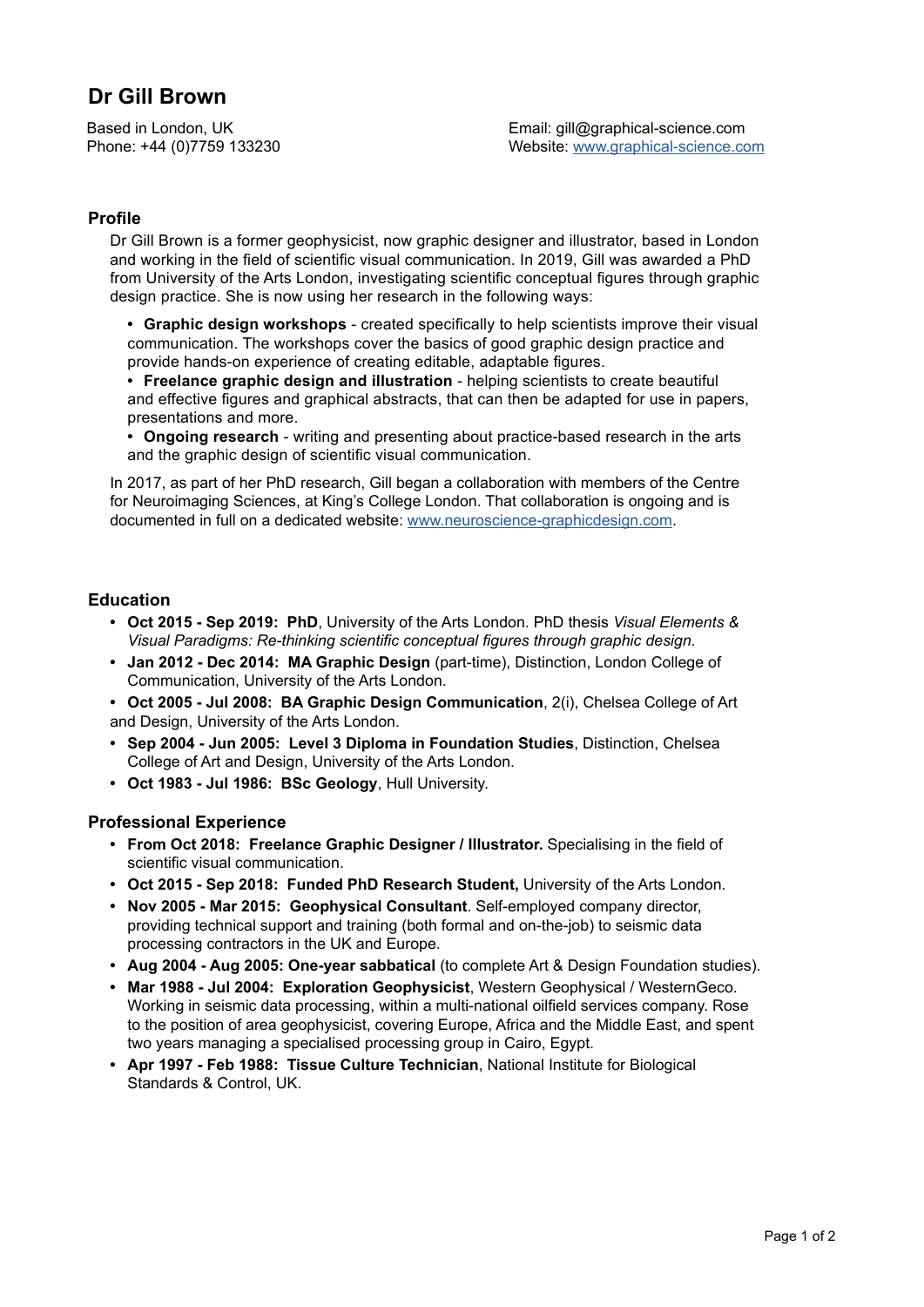# **Dr Gill Brown**

Based in London, UK Phone: +44 (0)7759 133230

## **Profile**

Dr Gill Brown is a former geophysicist, now graphic designer and illustrator, based in London and working in the field of scientific visual communication. In 2019, Gill was awarded a PhD from University of the Arts London, investigating scientific conceptual figures through graphic design practice. She is now using her research in the following ways:

**• Graphic design workshops** - created specifically to help scientists improve their visual communication. The workshops cover the basics of good graphic design practice and provide hands-on experience of creating editable, adaptable figures.

**• Freelance graphic design and illustration** - helping scientists to create beautiful and effective figures and graphical abstracts, that can then be adapted for use in papers, presentations and more.

**• Ongoing research** - writing and presenting about practice-based research in the arts and the graphic design of scientific visual communication.

In 2017, as part of her PhD research, Gill began a collaboration with members of the Centre for Neuroimaging Sciences, at King's College London. That collaboration is ongoing and is documented in full on a dedicated website: [www.neuroscience-graphicdesign.com](http://www.neuroscience-graphicdesign.com).

### **Education**

- **• Oct 2015 Sep 2019: PhD**, University of the Arts London. PhD thesis *Visual Elements & Visual Paradigms: Re-thinking scientific conceptual figures through graphic design.*
- **• Jan 2012 Dec 2014: MA Graphic Design** (part-time), Distinction, London College of Communication, University of the Arts London.
- **• Oct 2005 Jul 2008: BA Graphic Design Communication**, 2(i), Chelsea College of Art and Design, University of the Arts London.
- **• Sep 2004 Jun 2005: Level 3 Diploma in Foundation Studies**, Distinction, Chelsea College of Art and Design, University of the Arts London.
- **• Oct 1983 Jul 1986: BSc Geology**, Hull University.

### **Professional Experience**

- **• From Oct 2018: Freelance Graphic Designer / Illustrator.** Specialising in the field of scientific visual communication.
- **• Oct 2015 Sep 2018: Funded PhD Research Student,** University of the Arts London.
- **• Nov 2005 Mar 2015: Geophysical Consultant**. Self-employed company director, providing technical support and training (both formal and on-the-job) to seismic data processing contractors in the UK and Europe.
- **• Aug 2004 Aug 2005: One-year sabbatical** (to complete Art & Design Foundation studies).
- **• Mar 1988 Jul 2004: Exploration Geophysicist**, Western Geophysical / WesternGeco. Working in seismic data processing, within a multi-national oilfield services company. Rose to the position of area geophysicist, covering Europe, Africa and the Middle East, and spent two years managing a specialised processing group in Cairo, Egypt.
- **• Apr 1997 Feb 1988: Tissue Culture Technician**, National Institute for Biological Standards & Control, UK.